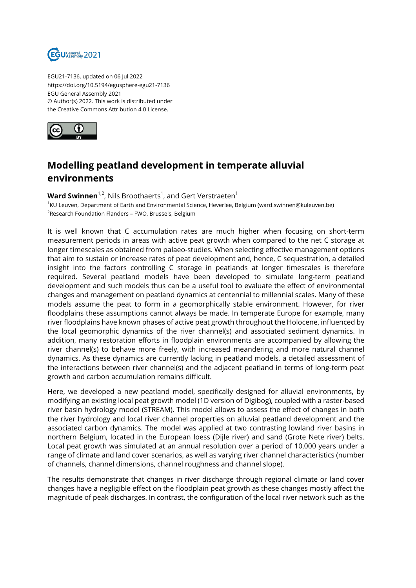

EGU21-7136, updated on 06 Jul 2022 https://doi.org/10.5194/egusphere-egu21-7136 EGU General Assembly 2021 © Author(s) 2022. This work is distributed under the Creative Commons Attribution 4.0 License.



## **Modelling peatland development in temperate alluvial environments**

**Ward Swinnen**<sup>1,2</sup>, Nils Broothaerts<sup>1</sup>, and Gert Verstraeten<sup>1</sup> 1 KU Leuven, Department of Earth and Environmental Science, Heverlee, Belgium (ward.swinnen@kuleuven.be)  $^{2}$ Research Foundation Flanders – FWO, Brussels, Belgium

It is well known that C accumulation rates are much higher when focusing on short-term measurement periods in areas with active peat growth when compared to the net C storage at longer timescales as obtained from palaeo-studies. When selecting effective management options that aim to sustain or increase rates of peat development and, hence, C sequestration, a detailed insight into the factors controlling C storage in peatlands at longer timescales is therefore required. Several peatland models have been developed to simulate long-term peatland development and such models thus can be a useful tool to evaluate the effect of environmental changes and management on peatland dynamics at centennial to millennial scales. Many of these models assume the peat to form in a geomorphically stable environment. However, for river floodplains these assumptions cannot always be made. In temperate Europe for example, many river floodplains have known phases of active peat growth throughout the Holocene, influenced by the local geomorphic dynamics of the river channel(s) and associated sediment dynamics. In addition, many restoration efforts in floodplain environments are accompanied by allowing the river channel(s) to behave more freely, with increased meandering and more natural channel dynamics. As these dynamics are currently lacking in peatland models, a detailed assessment of the interactions between river channel(s) and the adjacent peatland in terms of long-term peat growth and carbon accumulation remains difficult.

Here, we developed a new peatland model, specifically designed for alluvial environments, by modifying an existing local peat growth model (1D version of Digibog), coupled with a raster-based river basin hydrology model (STREAM). This model allows to assess the effect of changes in both the river hydrology and local river channel properties on alluvial peatland development and the associated carbon dynamics. The model was applied at two contrasting lowland river basins in northern Belgium, located in the European loess (Dijle river) and sand (Grote Nete river) belts. Local peat growth was simulated at an annual resolution over a period of 10,000 years under a range of climate and land cover scenarios, as well as varying river channel characteristics (number of channels, channel dimensions, channel roughness and channel slope).

The results demonstrate that changes in river discharge through regional climate or land cover changes have a negligible effect on the floodplain peat growth as these changes mostly affect the magnitude of peak discharges. In contrast, the configuration of the local river network such as the